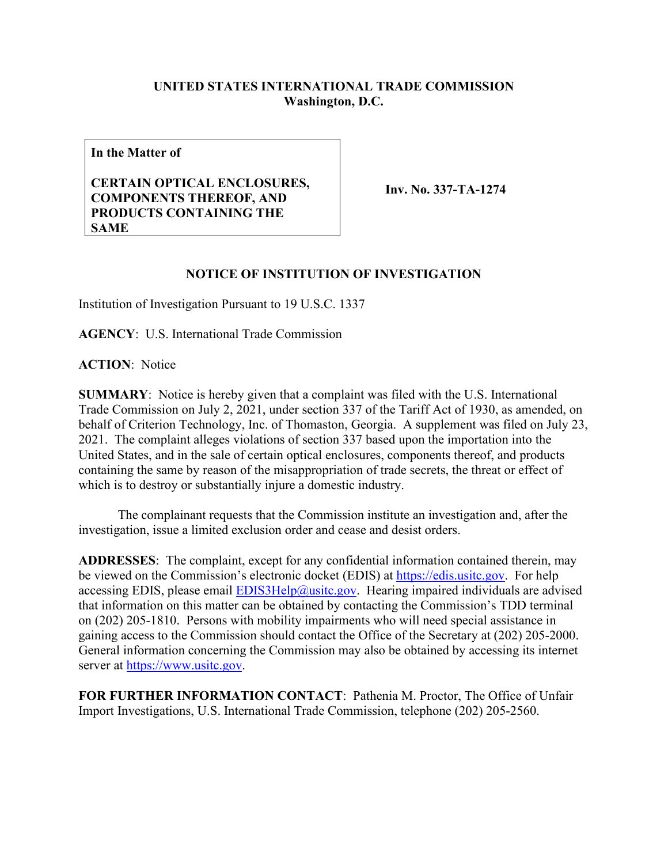## **UNITED STATES INTERNATIONAL TRADE COMMISSION Washington, D.C.**

**In the Matter of**

## **CERTAIN OPTICAL ENCLOSURES, COMPONENTS THEREOF, AND PRODUCTS CONTAINING THE SAME**

**Inv. No. 337-TA-1274**

## **NOTICE OF INSTITUTION OF INVESTIGATION**

Institution of Investigation Pursuant to 19 U.S.C. 1337

**AGENCY**: U.S. International Trade Commission

**ACTION**: Notice

**SUMMARY**: Notice is hereby given that a complaint was filed with the U.S. International Trade Commission on July 2, 2021, under section 337 of the Tariff Act of 1930, as amended, on behalf of Criterion Technology, Inc. of Thomaston, Georgia. A supplement was filed on July 23, 2021. The complaint alleges violations of section 337 based upon the importation into the United States, and in the sale of certain optical enclosures, components thereof, and products containing the same by reason of the misappropriation of trade secrets, the threat or effect of which is to destroy or substantially injure a domestic industry.

The complainant requests that the Commission institute an investigation and, after the investigation, issue a limited exclusion order and cease and desist orders.

**ADDRESSES**: The complaint, except for any confidential information contained therein, may be viewed on the Commission's electronic docket (EDIS) at [https://edis.usitc.gov.](https://edis.usitc.gov/) For help accessing EDIS, please email  $EDIS3Help@usite.gov$ . Hearing impaired individuals are advised that information on this matter can be obtained by contacting the Commission's TDD terminal on (202) 205-1810. Persons with mobility impairments who will need special assistance in gaining access to the Commission should contact the Office of the Secretary at (202) 205-2000. General information concerning the Commission may also be obtained by accessing its internet server at [https://www.usitc.gov.](https://www.usitc.gov/)

**FOR FURTHER INFORMATION CONTACT**: Pathenia M. Proctor, The Office of Unfair Import Investigations, U.S. International Trade Commission, telephone (202) 205-2560.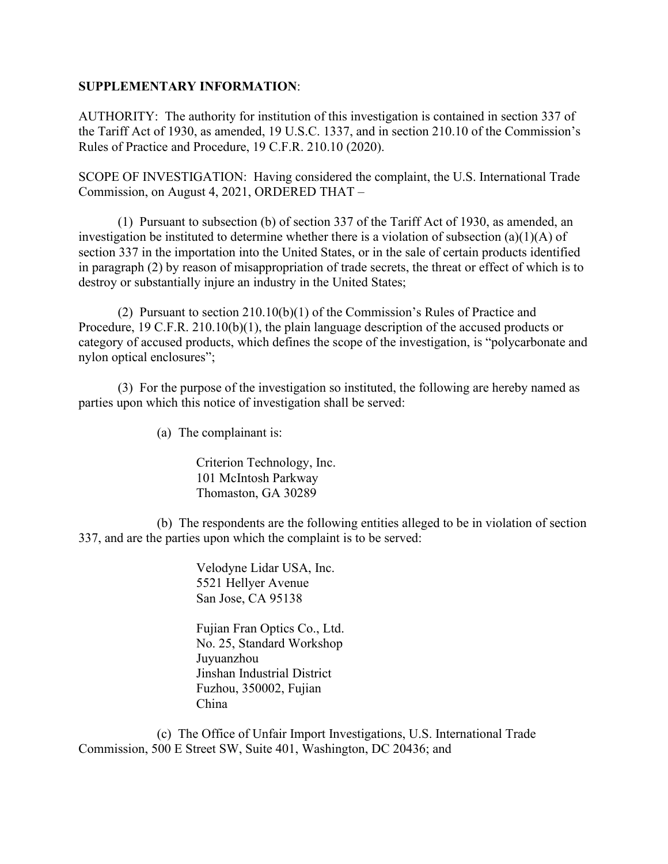## **SUPPLEMENTARY INFORMATION**:

AUTHORITY: The authority for institution of this investigation is contained in section 337 of the Tariff Act of 1930, as amended, 19 U.S.C. 1337, and in section 210.10 of the Commission's Rules of Practice and Procedure, 19 C.F.R. 210.10 (2020).

SCOPE OF INVESTIGATION: Having considered the complaint, the U.S. International Trade Commission, on August 4, 2021, ORDERED THAT –

(1) Pursuant to subsection (b) of section 337 of the Tariff Act of 1930, as amended, an investigation be instituted to determine whether there is a violation of subsection (a)(1)(A) of section 337 in the importation into the United States, or in the sale of certain products identified in paragraph (2) by reason of misappropriation of trade secrets, the threat or effect of which is to destroy or substantially injure an industry in the United States;

(2) Pursuant to section 210.10(b)(1) of the Commission's Rules of Practice and Procedure, 19 C.F.R. 210.10(b)(1), the plain language description of the accused products or category of accused products, which defines the scope of the investigation, is "polycarbonate and nylon optical enclosures";

(3) For the purpose of the investigation so instituted, the following are hereby named as parties upon which this notice of investigation shall be served:

(a) The complainant is:

Criterion Technology, Inc. 101 McIntosh Parkway Thomaston, GA 30289

(b) The respondents are the following entities alleged to be in violation of section 337, and are the parties upon which the complaint is to be served:

> Velodyne Lidar USA, Inc. 5521 Hellyer Avenue San Jose, CA 95138

Fujian Fran Optics Co., Ltd. No. 25, Standard Workshop Juyuanzhou Jinshan Industrial District Fuzhou, 350002, Fujian China

(c) The Office of Unfair Import Investigations, U.S. International Trade Commission, 500 E Street SW, Suite 401, Washington, DC 20436; and